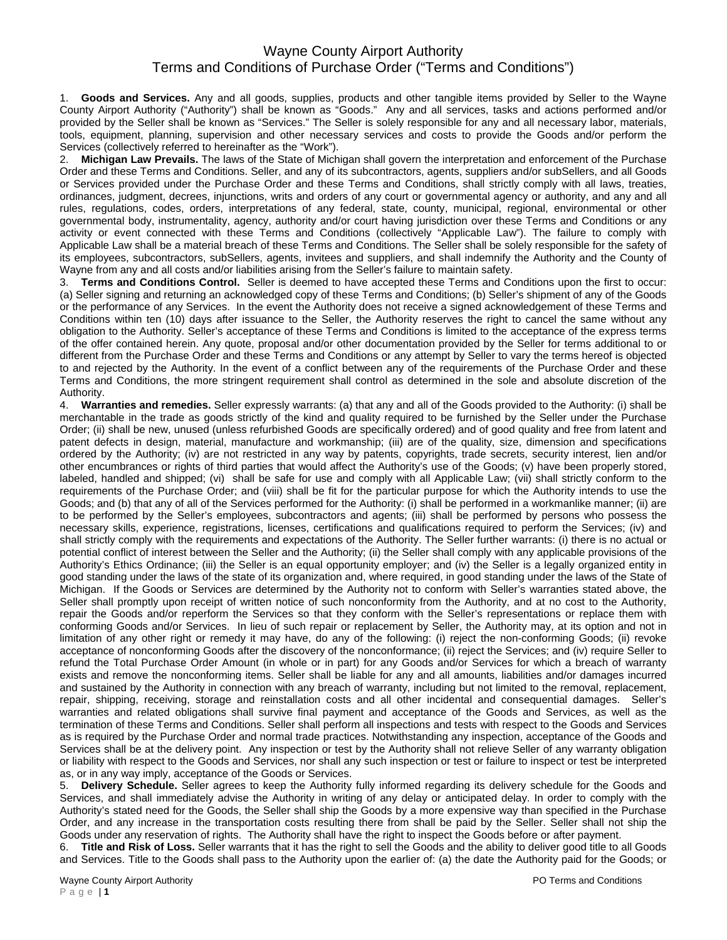## Wayne County Airport Authority Terms and Conditions of Purchase Order ("Terms and Conditions")

1. **Goods and Services.** Any and all goods, supplies, products and other tangible items provided by Seller to the Wayne County Airport Authority ("Authority") shall be known as "Goods." Any and all services, tasks and actions performed and/or provided by the Seller shall be known as "Services." The Seller is solely responsible for any and all necessary labor, materials, tools, equipment, planning, supervision and other necessary services and costs to provide the Goods and/or perform the Services (collectively referred to hereinafter as the "Work").

2. **Michigan Law Prevails.** The laws of the State of Michigan shall govern the interpretation and enforcement of the Purchase Order and these Terms and Conditions. Seller, and any of its subcontractors, agents, suppliers and/or subSellers, and all Goods or Services provided under the Purchase Order and these Terms and Conditions, shall strictly comply with all laws, treaties, ordinances, judgment, decrees, injunctions, writs and orders of any court or governmental agency or authority, and any and all rules, regulations, codes, orders, interpretations of any federal, state, county, municipal, regional, environmental or other governmental body, instrumentality, agency, authority and/or court having jurisdiction over these Terms and Conditions or any activity or event connected with these Terms and Conditions (collectively "Applicable Law"). The failure to comply with Applicable Law shall be a material breach of these Terms and Conditions. The Seller shall be solely responsible for the safety of its employees, subcontractors, subSellers, agents, invitees and suppliers, and shall indemnify the Authority and the County of Wayne from any and all costs and/or liabilities arising from the Seller's failure to maintain safety.

3. **Terms and Conditions Control.** Seller is deemed to have accepted these Terms and Conditions upon the first to occur: (a) Seller signing and returning an acknowledged copy of these Terms and Conditions; (b) Seller's shipment of any of the Goods or the performance of any Services. In the event the Authority does not receive a signed acknowledgement of these Terms and Conditions within ten (10) days after issuance to the Seller, the Authority reserves the right to cancel the same without any obligation to the Authority. Seller's acceptance of these Terms and Conditions is limited to the acceptance of the express terms of the offer contained herein. Any quote, proposal and/or other documentation provided by the Seller for terms additional to or different from the Purchase Order and these Terms and Conditions or any attempt by Seller to vary the terms hereof is objected to and rejected by the Authority. In the event of a conflict between any of the requirements of the Purchase Order and these Terms and Conditions, the more stringent requirement shall control as determined in the sole and absolute discretion of the Authority.

4. **Warranties and remedies.** Seller expressly warrants: (a) that any and all of the Goods provided to the Authority: (i) shall be merchantable in the trade as goods strictly of the kind and quality required to be furnished by the Seller under the Purchase Order; (ii) shall be new, unused (unless refurbished Goods are specifically ordered) and of good quality and free from latent and patent defects in design, material, manufacture and workmanship; (iii) are of the quality, size, dimension and specifications ordered by the Authority; (iv) are not restricted in any way by patents, copyrights, trade secrets, security interest, lien and/or other encumbrances or rights of third parties that would affect the Authority's use of the Goods; (v) have been properly stored, labeled, handled and shipped; (vi) shall be safe for use and comply with all Applicable Law; (vii) shall strictly conform to the requirements of the Purchase Order; and (viii) shall be fit for the particular purpose for which the Authority intends to use the Goods; and (b) that any of all of the Services performed for the Authority: (i) shall be performed in a workmanlike manner; (ii) are to be performed by the Seller's employees, subcontractors and agents; (iii) shall be performed by persons who possess the necessary skills, experience, registrations, licenses, certifications and qualifications required to perform the Services; (iv) and shall strictly comply with the requirements and expectations of the Authority. The Seller further warrants: (i) there is no actual or potential conflict of interest between the Seller and the Authority; (ii) the Seller shall comply with any applicable provisions of the Authority's Ethics Ordinance; (iii) the Seller is an equal opportunity employer; and (iv) the Seller is a legally organized entity in good standing under the laws of the state of its organization and, where required, in good standing under the laws of the State of Michigan. If the Goods or Services are determined by the Authority not to conform with Seller's warranties stated above, the Seller shall promptly upon receipt of written notice of such nonconformity from the Authority, and at no cost to the Authority, repair the Goods and/or reperform the Services so that they conform with the Seller's representations or replace them with conforming Goods and/or Services. In lieu of such repair or replacement by Seller, the Authority may, at its option and not in limitation of any other right or remedy it may have, do any of the following: (i) reject the non-conforming Goods; (ii) revoke acceptance of nonconforming Goods after the discovery of the nonconformance; (ii) reject the Services; and (iv) require Seller to refund the Total Purchase Order Amount (in whole or in part) for any Goods and/or Services for which a breach of warranty exists and remove the nonconforming items. Seller shall be liable for any and all amounts, liabilities and/or damages incurred and sustained by the Authority in connection with any breach of warranty, including but not limited to the removal, replacement, repair, shipping, receiving, storage and reinstallation costs and all other incidental and consequential damages. Seller's warranties and related obligations shall survive final payment and acceptance of the Goods and Services, as well as the termination of these Terms and Conditions. Seller shall perform all inspections and tests with respect to the Goods and Services as is required by the Purchase Order and normal trade practices. Notwithstanding any inspection, acceptance of the Goods and Services shall be at the delivery point. Any inspection or test by the Authority shall not relieve Seller of any warranty obligation or liability with respect to the Goods and Services, nor shall any such inspection or test or failure to inspect or test be interpreted as, or in any way imply, acceptance of the Goods or Services.

5. **Delivery Schedule.** Seller agrees to keep the Authority fully informed regarding its delivery schedule for the Goods and Services, and shall immediately advise the Authority in writing of any delay or anticipated delay. In order to comply with the Authority's stated need for the Goods, the Seller shall ship the Goods by a more expensive way than specified in the Purchase Order, and any increase in the transportation costs resulting there from shall be paid by the Seller. Seller shall not ship the Goods under any reservation of rights. The Authority shall have the right to inspect the Goods before or after payment.

6. **Title and Risk of Loss.** Seller warrants that it has the right to sell the Goods and the ability to deliver good title to all Goods and Services. Title to the Goods shall pass to the Authority upon the earlier of: (a) the date the Authority paid for the Goods; or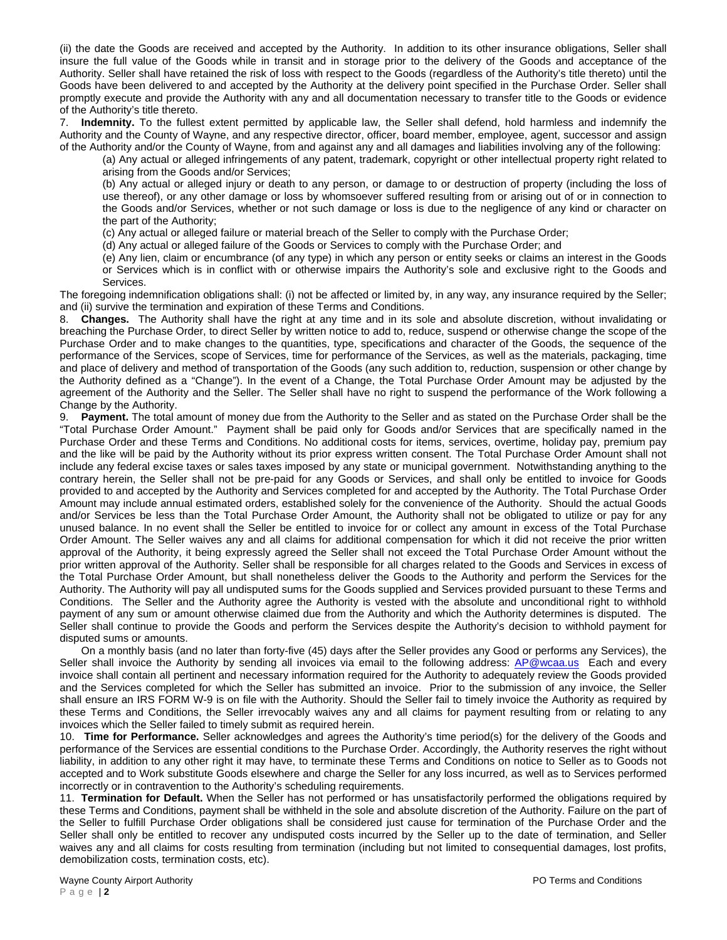(ii) the date the Goods are received and accepted by the Authority. In addition to its other insurance obligations, Seller shall insure the full value of the Goods while in transit and in storage prior to the delivery of the Goods and acceptance of the Authority. Seller shall have retained the risk of loss with respect to the Goods (regardless of the Authority's title thereto) until the Goods have been delivered to and accepted by the Authority at the delivery point specified in the Purchase Order. Seller shall promptly execute and provide the Authority with any and all documentation necessary to transfer title to the Goods or evidence of the Authority's title thereto.

7. **Indemnity.** To the fullest extent permitted by applicable law, the Seller shall defend, hold harmless and indemnify the Authority and the County of Wayne, and any respective director, officer, board member, employee, agent, successor and assign of the Authority and/or the County of Wayne, from and against any and all damages and liabilities involving any of the following:

(a) Any actual or alleged infringements of any patent, trademark, copyright or other intellectual property right related to arising from the Goods and/or Services;

(b) Any actual or alleged injury or death to any person, or damage to or destruction of property (including the loss of use thereof), or any other damage or loss by whomsoever suffered resulting from or arising out of or in connection to the Goods and/or Services, whether or not such damage or loss is due to the negligence of any kind or character on the part of the Authority;

(c) Any actual or alleged failure or material breach of the Seller to comply with the Purchase Order;

(d) Any actual or alleged failure of the Goods or Services to comply with the Purchase Order; and

(e) Any lien, claim or encumbrance (of any type) in which any person or entity seeks or claims an interest in the Goods

or Services which is in conflict with or otherwise impairs the Authority's sole and exclusive right to the Goods and Services.

The foregoing indemnification obligations shall: (i) not be affected or limited by, in any way, any insurance required by the Seller; and (ii) survive the termination and expiration of these Terms and Conditions.

8. **Changes.** The Authority shall have the right at any time and in its sole and absolute discretion, without invalidating or breaching the Purchase Order, to direct Seller by written notice to add to, reduce, suspend or otherwise change the scope of the Purchase Order and to make changes to the quantities, type, specifications and character of the Goods, the sequence of the performance of the Services, scope of Services, time for performance of the Services, as well as the materials, packaging, time and place of delivery and method of transportation of the Goods (any such addition to, reduction, suspension or other change by the Authority defined as a "Change"). In the event of a Change, the Total Purchase Order Amount may be adjusted by the agreement of the Authority and the Seller. The Seller shall have no right to suspend the performance of the Work following a Change by the Authority.

9. **Payment.** The total amount of money due from the Authority to the Seller and as stated on the Purchase Order shall be the "Total Purchase Order Amount." Payment shall be paid only for Goods and/or Services that are specifically named in the Purchase Order and these Terms and Conditions. No additional costs for items, services, overtime, holiday pay, premium pay and the like will be paid by the Authority without its prior express written consent. The Total Purchase Order Amount shall not include any federal excise taxes or sales taxes imposed by any state or municipal government. Notwithstanding anything to the contrary herein, the Seller shall not be pre-paid for any Goods or Services, and shall only be entitled to invoice for Goods provided to and accepted by the Authority and Services completed for and accepted by the Authority. The Total Purchase Order Amount may include annual estimated orders, established solely for the convenience of the Authority. Should the actual Goods and/or Services be less than the Total Purchase Order Amount, the Authority shall not be obligated to utilize or pay for any unused balance. In no event shall the Seller be entitled to invoice for or collect any amount in excess of the Total Purchase Order Amount. The Seller waives any and all claims for additional compensation for which it did not receive the prior written approval of the Authority, it being expressly agreed the Seller shall not exceed the Total Purchase Order Amount without the prior written approval of the Authority. Seller shall be responsible for all charges related to the Goods and Services in excess of the Total Purchase Order Amount, but shall nonetheless deliver the Goods to the Authority and perform the Services for the Authority. The Authority will pay all undisputed sums for the Goods supplied and Services provided pursuant to these Terms and Conditions. The Seller and the Authority agree the Authority is vested with the absolute and unconditional right to withhold payment of any sum or amount otherwise claimed due from the Authority and which the Authority determines is disputed. The Seller shall continue to provide the Goods and perform the Services despite the Authority's decision to withhold payment for disputed sums or amounts.

 On a monthly basis (and no later than forty-five (45) days after the Seller provides any Good or performs any Services), the Seller shall invoice the Authority by sending all invoices via email to the following address: AP@wcaa.us Each and every invoice shall contain all pertinent and necessary information required for the Authority to adequately review the Goods provided and the Services completed for which the Seller has submitted an invoice. Prior to the submission of any invoice, the Seller shall ensure an IRS FORM W-9 is on file with the Authority. Should the Seller fail to timely invoice the Authority as required by these Terms and Conditions, the Seller irrevocably waives any and all claims for payment resulting from or relating to any invoices which the Seller failed to timely submit as required herein.

10. **Time for Performance.** Seller acknowledges and agrees the Authority's time period(s) for the delivery of the Goods and performance of the Services are essential conditions to the Purchase Order. Accordingly, the Authority reserves the right without liability, in addition to any other right it may have, to terminate these Terms and Conditions on notice to Seller as to Goods not accepted and to Work substitute Goods elsewhere and charge the Seller for any loss incurred, as well as to Services performed incorrectly or in contravention to the Authority's scheduling requirements.

11. **Termination for Default.** When the Seller has not performed or has unsatisfactorily performed the obligations required by these Terms and Conditions, payment shall be withheld in the sole and absolute discretion of the Authority. Failure on the part of the Seller to fulfill Purchase Order obligations shall be considered just cause for termination of the Purchase Order and the Seller shall only be entitled to recover any undisputed costs incurred by the Seller up to the date of termination, and Seller waives any and all claims for costs resulting from termination (including but not limited to consequential damages, lost profits, demobilization costs, termination costs, etc).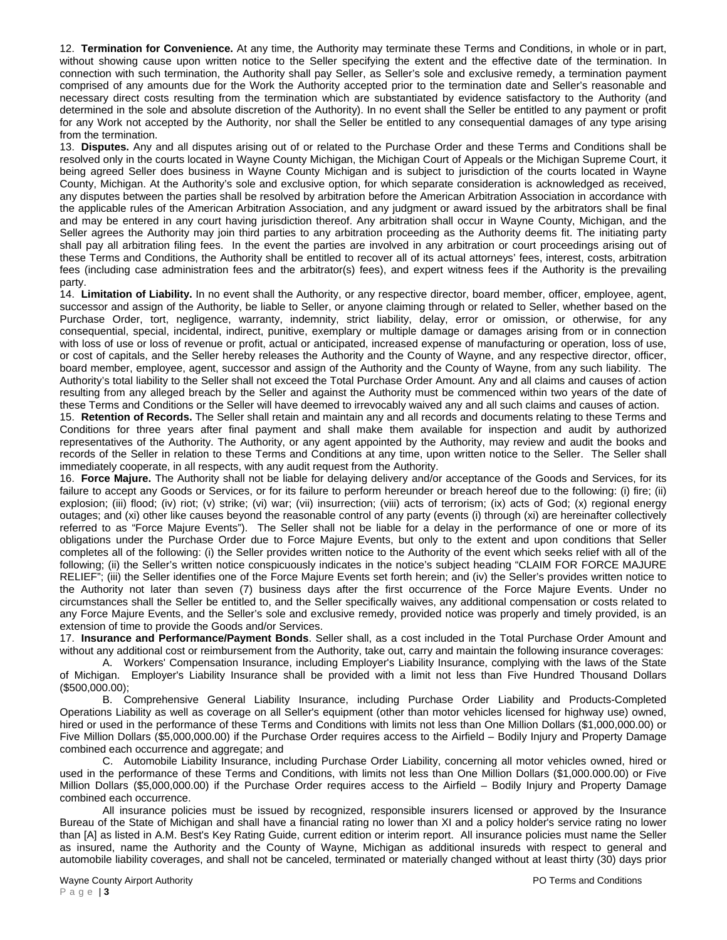12. **Termination for Convenience.** At any time, the Authority may terminate these Terms and Conditions, in whole or in part, without showing cause upon written notice to the Seller specifying the extent and the effective date of the termination. In connection with such termination, the Authority shall pay Seller, as Seller's sole and exclusive remedy, a termination payment comprised of any amounts due for the Work the Authority accepted prior to the termination date and Seller's reasonable and necessary direct costs resulting from the termination which are substantiated by evidence satisfactory to the Authority (and determined in the sole and absolute discretion of the Authority). In no event shall the Seller be entitled to any payment or profit for any Work not accepted by the Authority, nor shall the Seller be entitled to any consequential damages of any type arising from the termination.

13. **Disputes.** Any and all disputes arising out of or related to the Purchase Order and these Terms and Conditions shall be resolved only in the courts located in Wayne County Michigan, the Michigan Court of Appeals or the Michigan Supreme Court, it being agreed Seller does business in Wayne County Michigan and is subject to jurisdiction of the courts located in Wayne County, Michigan. At the Authority's sole and exclusive option, for which separate consideration is acknowledged as received, any disputes between the parties shall be resolved by arbitration before the American Arbitration Association in accordance with the applicable rules of the American Arbitration Association, and any judgment or award issued by the arbitrators shall be final and may be entered in any court having jurisdiction thereof. Any arbitration shall occur in Wayne County, Michigan, and the Seller agrees the Authority may join third parties to any arbitration proceeding as the Authority deems fit. The initiating party shall pay all arbitration filing fees. In the event the parties are involved in any arbitration or court proceedings arising out of these Terms and Conditions, the Authority shall be entitled to recover all of its actual attorneys' fees, interest, costs, arbitration fees (including case administration fees and the arbitrator(s) fees), and expert witness fees if the Authority is the prevailing party.

14. **Limitation of Liability.** In no event shall the Authority, or any respective director, board member, officer, employee, agent, successor and assign of the Authority, be liable to Seller, or anyone claiming through or related to Seller, whether based on the Purchase Order, tort, negligence, warranty, indemnity, strict liability, delay, error or omission, or otherwise, for any consequential, special, incidental, indirect, punitive, exemplary or multiple damage or damages arising from or in connection with loss of use or loss of revenue or profit, actual or anticipated, increased expense of manufacturing or operation, loss of use, or cost of capitals, and the Seller hereby releases the Authority and the County of Wayne, and any respective director, officer, board member, employee, agent, successor and assign of the Authority and the County of Wayne, from any such liability. The Authority's total liability to the Seller shall not exceed the Total Purchase Order Amount. Any and all claims and causes of action resulting from any alleged breach by the Seller and against the Authority must be commenced within two years of the date of these Terms and Conditions or the Seller will have deemed to irrevocably waived any and all such claims and causes of action.

15. **Retention of Records.** The Seller shall retain and maintain any and all records and documents relating to these Terms and Conditions for three years after final payment and shall make them available for inspection and audit by authorized representatives of the Authority. The Authority, or any agent appointed by the Authority, may review and audit the books and records of the Seller in relation to these Terms and Conditions at any time, upon written notice to the Seller. The Seller shall immediately cooperate, in all respects, with any audit request from the Authority.

16. **Force Majure.** The Authority shall not be liable for delaying delivery and/or acceptance of the Goods and Services, for its failure to accept any Goods or Services, or for its failure to perform hereunder or breach hereof due to the following: (i) fire; (ii) explosion; (iii) flood; (iv) riot; (v) strike; (vi) war; (vii) insurrection; (viii) acts of terrorism; (ix) acts of God; (x) regional energy outages; and (xi) other like causes beyond the reasonable control of any party (events (i) through (xi) are hereinafter collectively referred to as "Force Majure Events"). The Seller shall not be liable for a delay in the performance of one or more of its obligations under the Purchase Order due to Force Majure Events, but only to the extent and upon conditions that Seller completes all of the following: (i) the Seller provides written notice to the Authority of the event which seeks relief with all of the following; (ii) the Seller's written notice conspicuously indicates in the notice's subject heading "CLAIM FOR FORCE MAJURE RELIEF"; (iii) the Seller identifies one of the Force Majure Events set forth herein; and (iv) the Seller's provides written notice to the Authority not later than seven (7) business days after the first occurrence of the Force Majure Events. Under no circumstances shall the Seller be entitled to, and the Seller specifically waives, any additional compensation or costs related to any Force Majure Events, and the Seller's sole and exclusive remedy, provided notice was properly and timely provided, is an extension of time to provide the Goods and/or Services.

17. **Insurance and Performance/Payment Bonds**. Seller shall, as a cost included in the Total Purchase Order Amount and without any additional cost or reimbursement from the Authority, take out, carry and maintain the following insurance coverages:

A. Workers' Compensation Insurance, including Employer's Liability Insurance, complying with the laws of the State of Michigan. Employer's Liability Insurance shall be provided with a limit not less than Five Hundred Thousand Dollars (\$500,000.00);

B. Comprehensive General Liability Insurance, including Purchase Order Liability and Products-Completed Operations Liability as well as coverage on all Seller's equipment (other than motor vehicles licensed for highway use) owned, hired or used in the performance of these Terms and Conditions with limits not less than One Million Dollars (\$1,000,000.00) or Five Million Dollars (\$5,000,000.00) if the Purchase Order requires access to the Airfield – Bodily Injury and Property Damage combined each occurrence and aggregate; and

C. Automobile Liability Insurance, including Purchase Order Liability, concerning all motor vehicles owned, hired or used in the performance of these Terms and Conditions, with limits not less than One Million Dollars (\$1,000.000.00) or Five Million Dollars (\$5,000,000.00) if the Purchase Order requires access to the Airfield – Bodily Injury and Property Damage combined each occurrence.

 All insurance policies must be issued by recognized, responsible insurers licensed or approved by the Insurance Bureau of the State of Michigan and shall have a financial rating no lower than XI and a policy holder's service rating no lower than [A] as listed in A.M. Best's Key Rating Guide, current edition or interim report. All insurance policies must name the Seller as insured, name the Authority and the County of Wayne, Michigan as additional insureds with respect to general and automobile liability coverages, and shall not be canceled, terminated or materially changed without at least thirty (30) days prior